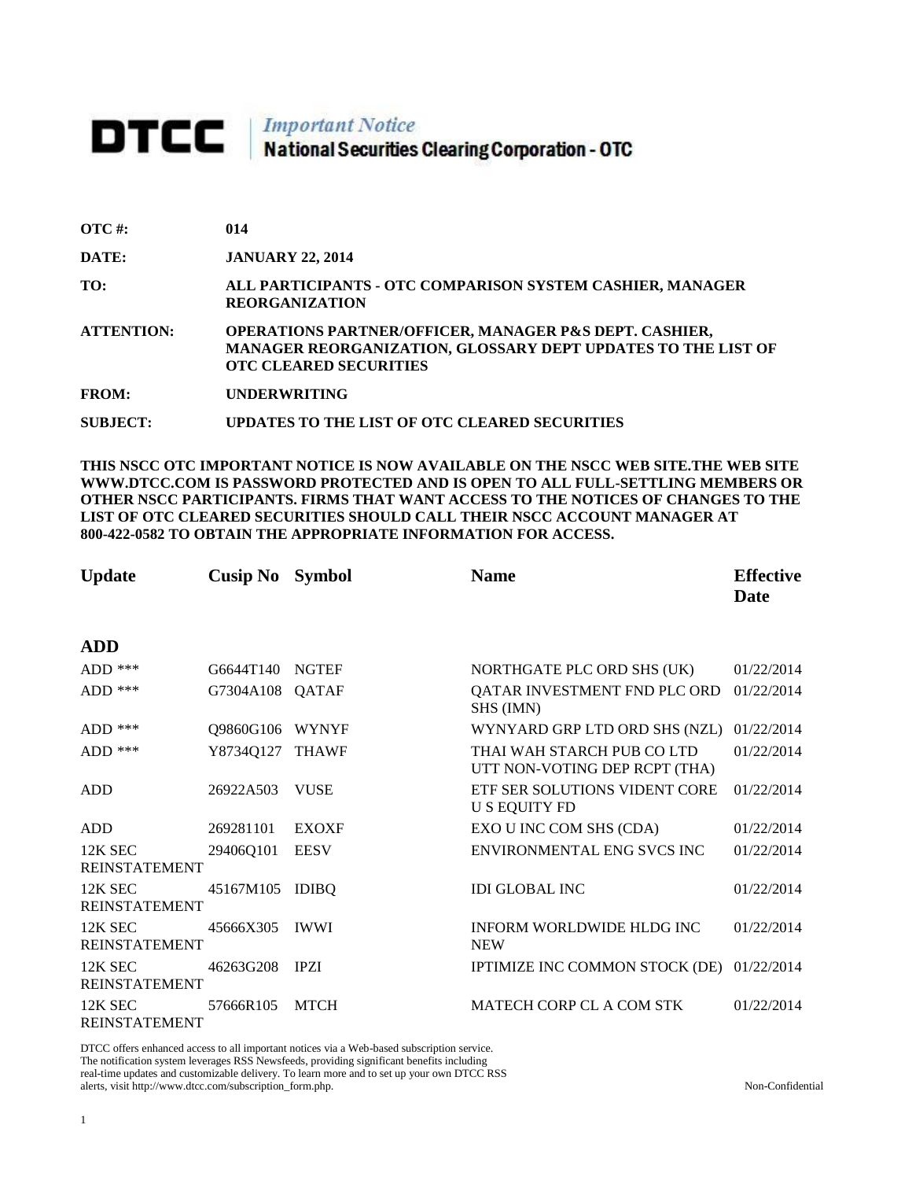# **DTCC** National Securities Clearing Corporation - OTC

| $\overline{OTC}$ #: | 014                                                                                                                                                                |
|---------------------|--------------------------------------------------------------------------------------------------------------------------------------------------------------------|
| DATE:               | <b>JANUARY 22, 2014</b>                                                                                                                                            |
| TO:                 | ALL PARTICIPANTS - OTC COMPARISON SYSTEM CASHIER, MANAGER<br><b>REORGANIZATION</b>                                                                                 |
| <b>ATTENTION:</b>   | <b>OPERATIONS PARTNER/OFFICER, MANAGER P&amp;S DEPT. CASHIER,</b><br>MANAGER REORGANIZATION, GLOSSARY DEPT UPDATES TO THE LIST OF<br><b>OTC CLEARED SECURITIES</b> |
| <b>FROM:</b>        | <b>UNDERWRITING</b>                                                                                                                                                |
| SUBJECT:            | UPDATES TO THE LIST OF OTC CLEARED SECURITIES                                                                                                                      |

**THIS NSCC OTC IMPORTANT NOTICE IS NOW AVAILABLE ON THE NSCC WEB SITE.THE WEB SITE WWW.DTCC.COM IS PASSWORD PROTECTED AND IS OPEN TO ALL FULL-SETTLING MEMBERS OR OTHER NSCC PARTICIPANTS. FIRMS THAT WANT ACCESS TO THE NOTICES OF CHANGES TO THE LIST OF OTC CLEARED SECURITIES SHOULD CALL THEIR NSCC ACCOUNT MANAGER AT 800-422-0582 TO OBTAIN THE APPROPRIATE INFORMATION FOR ACCESS.** 

| <b>Update</b>                   | <b>Cusip No</b> Symbol |              | <b>Name</b>                                                 | <b>Effective</b><br>Date |
|---------------------------------|------------------------|--------------|-------------------------------------------------------------|--------------------------|
| <b>ADD</b>                      |                        |              |                                                             |                          |
| $ADD$ ***                       | G6644T140              | <b>NGTEF</b> | NORTHGATE PLC ORD SHS (UK)                                  | 01/22/2014               |
| $ADD$ ***                       | G7304A108              | QATAF        | QATAR INVESTMENT FND PLC ORD<br>SHS (IMN)                   | 01/22/2014               |
| ADD ***                         | Q9860G106              | <b>WYNYF</b> | WYNYARD GRP LTD ORD SHS (NZL)                               | 01/22/2014               |
| $ADD$ ***                       | Y8734Q127              | <b>THAWF</b> | THAI WAH STARCH PUB CO LTD<br>UTT NON-VOTING DEP RCPT (THA) | 01/22/2014               |
| <b>ADD</b>                      | 26922A503              | <b>VUSE</b>  | ETF SER SOLUTIONS VIDENT CORE<br><b>U S EQUITY FD</b>       | 01/22/2014               |
| <b>ADD</b>                      | 269281101              | <b>EXOXF</b> | EXO U INC COM SHS (CDA)                                     | 01/22/2014               |
| 12K SEC<br><b>REINSTATEMENT</b> | 29406Q101              | <b>EESV</b>  | ENVIRONMENTAL ENG SVCS INC                                  | 01/22/2014               |
| 12K SEC<br><b>REINSTATEMENT</b> | 45167M105              | <b>IDIBO</b> | <b>IDI GLOBAL INC</b>                                       | 01/22/2014               |
| 12K SEC<br><b>REINSTATEMENT</b> | 45666X305              | <b>IWWI</b>  | INFORM WORLDWIDE HLDG INC<br><b>NEW</b>                     | 01/22/2014               |
| 12K SEC<br><b>REINSTATEMENT</b> | 46263G208              | <b>IPZI</b>  | IPTIMIZE INC COMMON STOCK (DE) 01/22/2014                   |                          |
| 12K SEC<br><b>REINSTATEMENT</b> | 57666R105              | <b>MTCH</b>  | MATECH CORP CL A COM STK                                    | 01/22/2014               |

DTCC offers enhanced access to all important notices via a Web-based subscription service. The notification system leverages RSS Newsfeeds, providing significant benefits including real-time updates and customizable delivery. To learn more and to set up your own DTCC RSS alerts, visit http://www.dtcc.com/subscription\_form.php. Non-Confidential